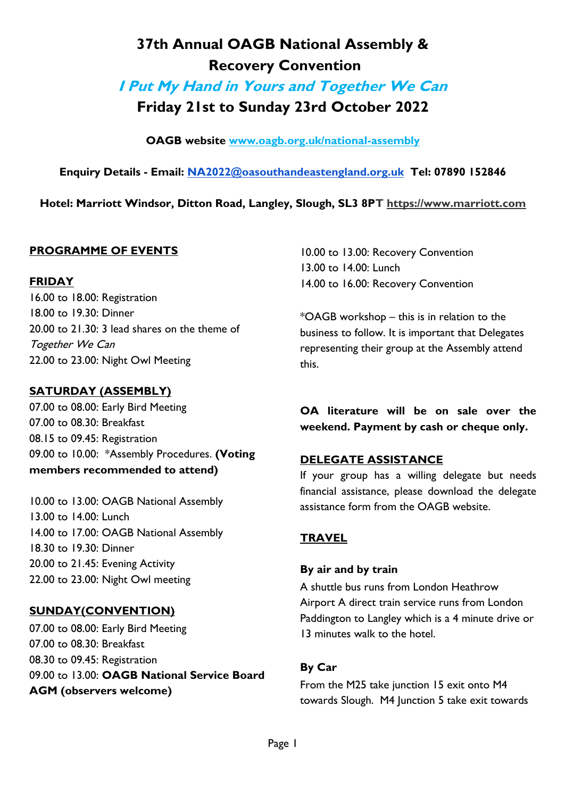# **37th Annual OAGB National Assembly & Recovery Convention**

**I Put My Hand in Yours and Together We Can**

**Friday 21st to Sunday 23rd October 2022**

**OAGB website [www.oagb.org.uk/national-assembly](http://www.oagb.org.uk/national-assembly)**

**Enquiry Details - Email: [NA2022@oasouthandeastengland.org.uk](mailto:NA2022@oasouthandeastengland.org.uk) Tel: 07890 152846**

**Hotel: Marriott Windsor, Ditton Road, Langley, Slough, SL3 8PT [https://www.marriott.com](https://www.marriott.com/)**

## **PROGRAMME OF EVENTS**

## **FRIDAY**

16.00 to 18.00: Registration 18.00 to 19.30: Dinner 20.00 to 21.30: 3 lead shares on the theme of Together We Can 22.00 to 23.00: Night Owl Meeting

## **SATURDAY (ASSEMBLY)**

07.00 to 08.00: Early Bird Meeting 07.00 to 08.30: Breakfast 08.15 to 09.45: Registration 09.00 to 10.00: \*Assembly Procedures. **(Voting members recommended to attend)**

10.00 to 13.00: OAGB National Assembly 13.00 to 14.00: Lunch 14.00 to 17.00: OAGB National Assembly 18.30 to 19.30: Dinner 20.00 to 21.45: Evening Activity 22.00 to 23.00: Night Owl meeting

## **SUNDAY(CONVENTION)**

07.00 to 08.00: Early Bird Meeting 07.00 to 08.30: Breakfast 08.30 to 09.45: Registration 09.00 to 13.00: **OAGB National Service Board AGM (observers welcome)**

10.00 to 13.00: Recovery Convention 13.00 to 14.00: Lunch 14.00 to 16.00: Recovery Convention

\*OAGB workshop – this is in relation to the business to follow. It is important that Delegates representing their group at the Assembly attend this.

**OA literature will be on sale over the weekend. Payment by cash or cheque only.**

## **DELEGATE ASSISTANCE**

If your group has a willing delegate but needs financial assistance, please download the delegate assistance form from the OAGB website.

## **TRAVEL**

#### **By air and by train**

A shuttle bus runs from London Heathrow Airport A direct train service runs from London Paddington to Langley which is a 4 minute drive or 13 minutes walk to the hotel.

## **By Car**

From the M25 take junction 15 exit onto M4 towards Slough. M4 Junction 5 take exit towards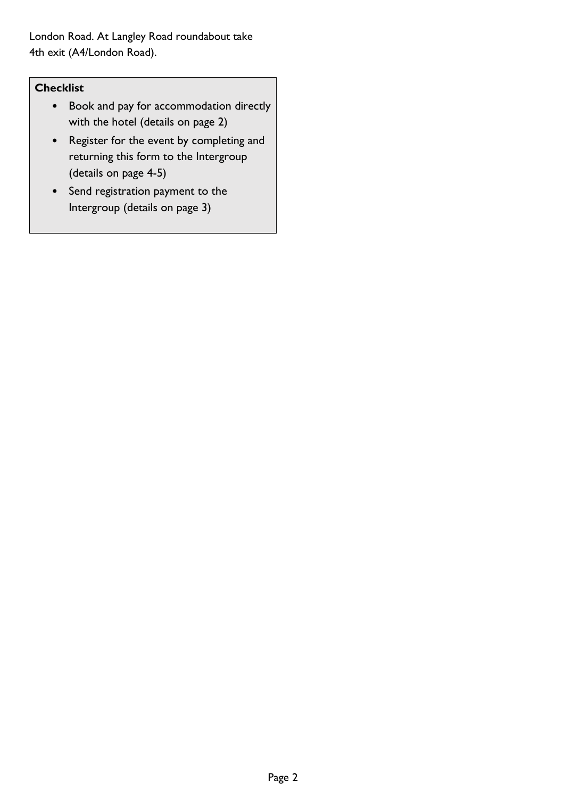London Road. At Langley Road roundabout take 4th exit (A4/London Road).

## **Checklist**

- Book and pay for accommodation directly with the hotel (details on page 2)
- Register for the event by completing and returning this form to the Intergroup (details on page 4-5)
- Send registration payment to the Intergroup (details on page 3)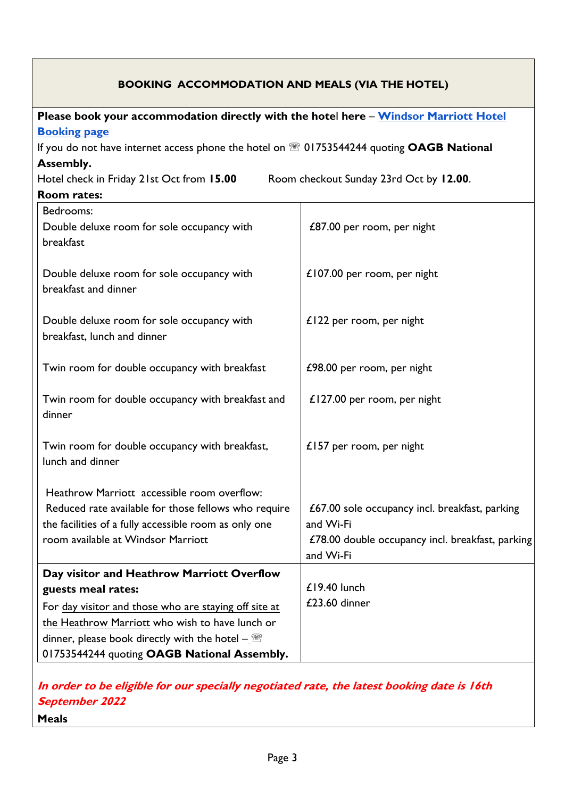| Please book your accommodation directly with the hotel here - Windsor Marriott Hotel<br><b>Booking page</b><br>If you do not have internet access phone the hotel on <sup>28</sup> 01753544244 quoting OAGB National<br>Assembly.<br>Room checkout Sunday 23rd Oct by 12.00.<br>Hotel check in Friday 21st Oct from 15.00<br><b>Room rates:</b><br>Bedrooms:<br>£87.00 per room, per night<br>Double deluxe room for sole occupancy with<br>breakfast<br>£107.00 per room, per night<br>Double deluxe room for sole occupancy with<br>breakfast and dinner<br>£122 per room, per night<br>Double deluxe room for sole occupancy with<br>breakfast, lunch and dinner<br>Twin room for double occupancy with breakfast<br>£98.00 per room, per night<br>Twin room for double occupancy with breakfast and<br>£127.00 per room, per night<br>dinner<br>Twin room for double occupancy with breakfast,<br>£157 per room, per night<br>lunch and dinner<br>Heathrow Marriott accessible room overflow:<br>£67.00 sole occupancy incl. breakfast, parking<br>Reduced rate available for those fellows who require | <b>BOOKING ACCOMMODATION AND MEALS (VIA THE HOTEL)</b> |                                                               |  |  |  |
|-------------------------------------------------------------------------------------------------------------------------------------------------------------------------------------------------------------------------------------------------------------------------------------------------------------------------------------------------------------------------------------------------------------------------------------------------------------------------------------------------------------------------------------------------------------------------------------------------------------------------------------------------------------------------------------------------------------------------------------------------------------------------------------------------------------------------------------------------------------------------------------------------------------------------------------------------------------------------------------------------------------------------------------------------------------------------------------------------------------|--------------------------------------------------------|---------------------------------------------------------------|--|--|--|
|                                                                                                                                                                                                                                                                                                                                                                                                                                                                                                                                                                                                                                                                                                                                                                                                                                                                                                                                                                                                                                                                                                             |                                                        |                                                               |  |  |  |
|                                                                                                                                                                                                                                                                                                                                                                                                                                                                                                                                                                                                                                                                                                                                                                                                                                                                                                                                                                                                                                                                                                             |                                                        |                                                               |  |  |  |
|                                                                                                                                                                                                                                                                                                                                                                                                                                                                                                                                                                                                                                                                                                                                                                                                                                                                                                                                                                                                                                                                                                             |                                                        |                                                               |  |  |  |
|                                                                                                                                                                                                                                                                                                                                                                                                                                                                                                                                                                                                                                                                                                                                                                                                                                                                                                                                                                                                                                                                                                             |                                                        |                                                               |  |  |  |
|                                                                                                                                                                                                                                                                                                                                                                                                                                                                                                                                                                                                                                                                                                                                                                                                                                                                                                                                                                                                                                                                                                             |                                                        |                                                               |  |  |  |
|                                                                                                                                                                                                                                                                                                                                                                                                                                                                                                                                                                                                                                                                                                                                                                                                                                                                                                                                                                                                                                                                                                             |                                                        |                                                               |  |  |  |
|                                                                                                                                                                                                                                                                                                                                                                                                                                                                                                                                                                                                                                                                                                                                                                                                                                                                                                                                                                                                                                                                                                             |                                                        |                                                               |  |  |  |
|                                                                                                                                                                                                                                                                                                                                                                                                                                                                                                                                                                                                                                                                                                                                                                                                                                                                                                                                                                                                                                                                                                             |                                                        |                                                               |  |  |  |
|                                                                                                                                                                                                                                                                                                                                                                                                                                                                                                                                                                                                                                                                                                                                                                                                                                                                                                                                                                                                                                                                                                             |                                                        |                                                               |  |  |  |
|                                                                                                                                                                                                                                                                                                                                                                                                                                                                                                                                                                                                                                                                                                                                                                                                                                                                                                                                                                                                                                                                                                             |                                                        |                                                               |  |  |  |
|                                                                                                                                                                                                                                                                                                                                                                                                                                                                                                                                                                                                                                                                                                                                                                                                                                                                                                                                                                                                                                                                                                             |                                                        |                                                               |  |  |  |
|                                                                                                                                                                                                                                                                                                                                                                                                                                                                                                                                                                                                                                                                                                                                                                                                                                                                                                                                                                                                                                                                                                             |                                                        |                                                               |  |  |  |
|                                                                                                                                                                                                                                                                                                                                                                                                                                                                                                                                                                                                                                                                                                                                                                                                                                                                                                                                                                                                                                                                                                             |                                                        |                                                               |  |  |  |
| room available at Windsor Marriott<br>and Wi-Fi                                                                                                                                                                                                                                                                                                                                                                                                                                                                                                                                                                                                                                                                                                                                                                                                                                                                                                                                                                                                                                                             | the facilities of a fully accessible room as only one  | and Wi-Fi<br>£78.00 double occupancy incl. breakfast, parking |  |  |  |
| Day visitor and Heathrow Marriott Overflow                                                                                                                                                                                                                                                                                                                                                                                                                                                                                                                                                                                                                                                                                                                                                                                                                                                                                                                                                                                                                                                                  |                                                        |                                                               |  |  |  |
| £19.40 lunch<br>guests meal rates:                                                                                                                                                                                                                                                                                                                                                                                                                                                                                                                                                                                                                                                                                                                                                                                                                                                                                                                                                                                                                                                                          |                                                        |                                                               |  |  |  |
| For day visitor and those who are staying off site at                                                                                                                                                                                                                                                                                                                                                                                                                                                                                                                                                                                                                                                                                                                                                                                                                                                                                                                                                                                                                                                       |                                                        | £23.60 dinner                                                 |  |  |  |
| the Heathrow Marriott who wish to have lunch or                                                                                                                                                                                                                                                                                                                                                                                                                                                                                                                                                                                                                                                                                                                                                                                                                                                                                                                                                                                                                                                             |                                                        |                                                               |  |  |  |
| dinner, please book directly with the hotel $-\sqrt{m}$                                                                                                                                                                                                                                                                                                                                                                                                                                                                                                                                                                                                                                                                                                                                                                                                                                                                                                                                                                                                                                                     |                                                        |                                                               |  |  |  |
| 01753544244 quoting OAGB National Assembly.                                                                                                                                                                                                                                                                                                                                                                                                                                                                                                                                                                                                                                                                                                                                                                                                                                                                                                                                                                                                                                                                 |                                                        |                                                               |  |  |  |

**In order to be eligible for our specially negotiated rate, the latest booking date is 16th September 2022**

**Meals**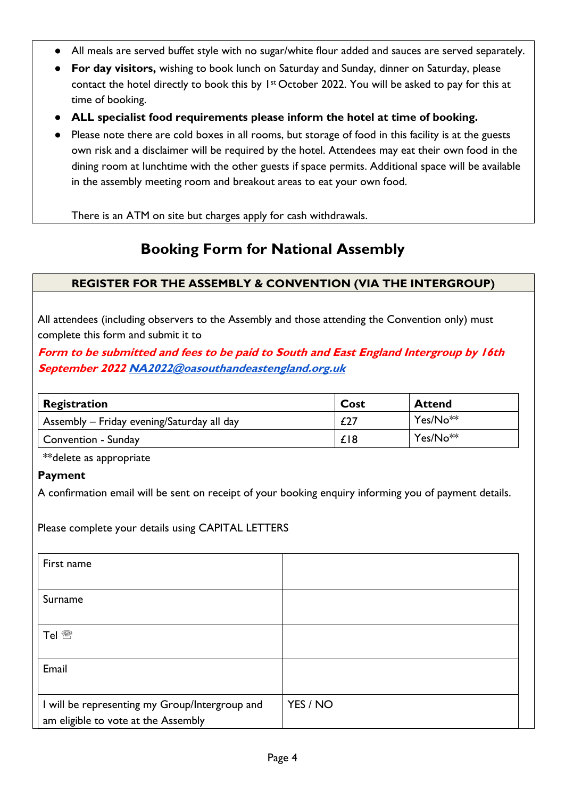- All meals are served buffet style with no sugar/white flour added and sauces are served separately.
- **For day visitors,** wishing to book lunch on Saturday and Sunday, dinner on Saturday, please contact the hotel directly to book this by  $1st$  October 2022. You will be asked to pay for this at time of booking.
- **ALL specialist food requirements please inform the hotel at time of booking.**
- Please note there are cold boxes in all rooms, but storage of food in this facility is at the guests own risk and a disclaimer will be required by the hotel. Attendees may eat their own food in the dining room at lunchtime with the other guests if space permits. Additional space will be available in the assembly meeting room and breakout areas to eat your own food.

There is an ATM on site but charges apply for cash withdrawals.

## **Booking Form for National Assembly**

#### **REGISTER FOR THE ASSEMBLY & CONVENTION (VIA THE INTERGROUP)**

All attendees (including observers to the Assembly and those attending the Convention only) must complete this form and submit it to

**Form to be submitted and fees to be paid to South and East England Intergroup by 16th September 202[2 NA2022@oasouthandeastengland.org.uk](mailto:NA2022@oasouthandeastengland.org.uk)**

| Registration                               | Cost | <b>Attend</b>        |
|--------------------------------------------|------|----------------------|
| Assembly – Friday evening/Saturday all day | £27  | Yes/No <sup>**</sup> |
| Convention - Sunday                        | £18  | Yes/No <sup>**</sup> |

\*\*delete as appropriate

**Payment**

A confirmation email will be sent on receipt of your booking enquiry informing you of payment details.

Please complete your details using CAPITAL LETTERS

| First name                                     |          |
|------------------------------------------------|----------|
|                                                |          |
| Surname                                        |          |
|                                                |          |
| Tel <sup></sup>                                |          |
|                                                |          |
| Email                                          |          |
|                                                |          |
| I will be representing my Group/Intergroup and | YES / NO |
| am eligible to vote at the Assembly            |          |